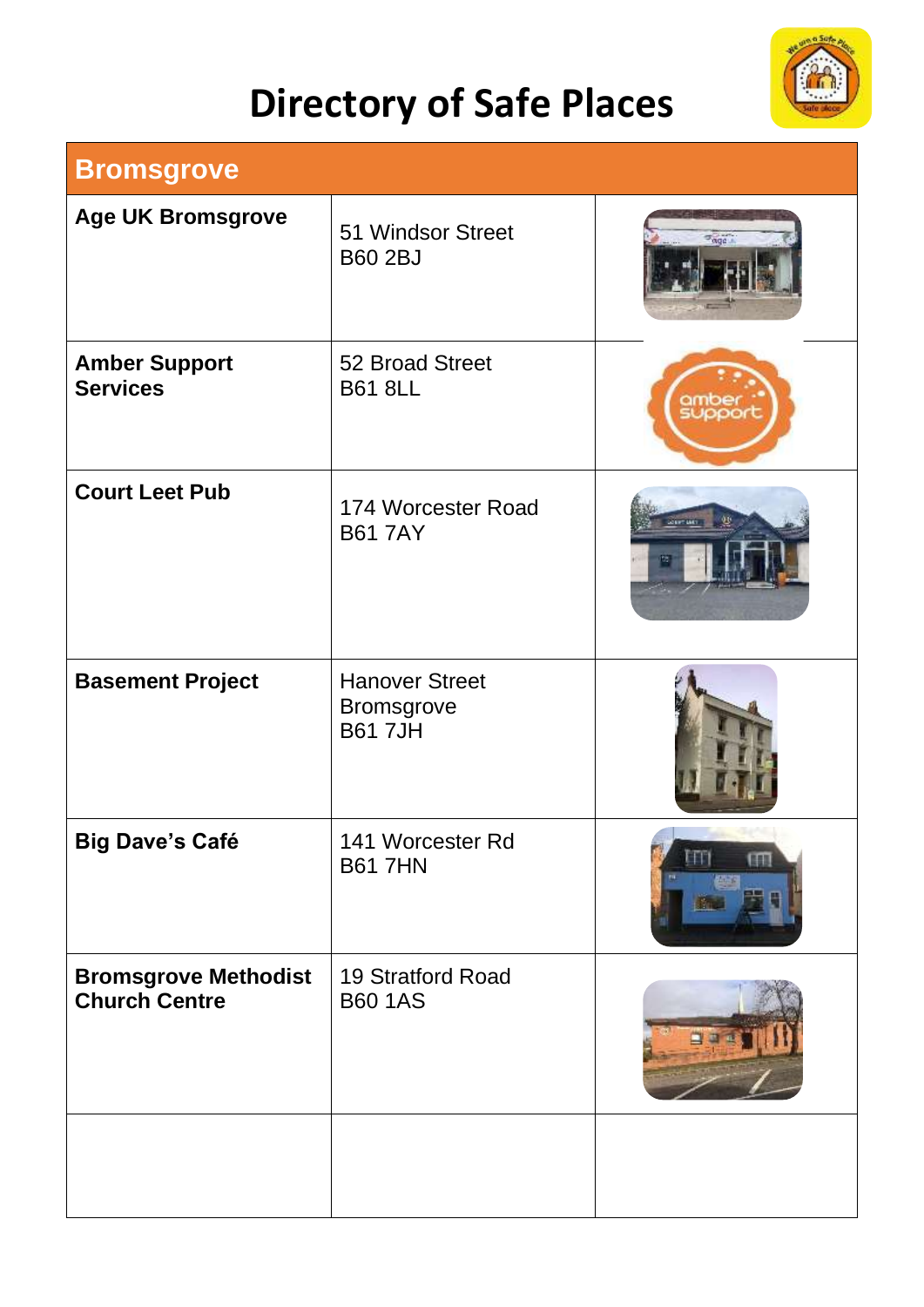## **Directory of Safe Places**



| <b>Bromsgrove</b>                                   |                                                             |                     |  |  |
|-----------------------------------------------------|-------------------------------------------------------------|---------------------|--|--|
| <b>Age UK Bromsgrove</b>                            | 51 Windsor Street<br><b>B60 2BJ</b>                         | $\sigma_{\alpha q}$ |  |  |
| <b>Amber Support</b><br><b>Services</b>             | 52 Broad Street<br><b>B61 8LL</b>                           |                     |  |  |
| <b>Court Leet Pub</b>                               | 174 Worcester Road<br><b>B61 7AY</b>                        |                     |  |  |
| <b>Basement Project</b>                             | <b>Hanover Street</b><br><b>Bromsgrove</b><br><b>B617JH</b> |                     |  |  |
| <b>Big Dave's Café</b>                              | 141 Worcester Rd<br><b>B61 7HN</b>                          | <b>BELL</b>         |  |  |
| <b>Bromsgrove Methodist</b><br><b>Church Centre</b> | 19 Stratford Road<br><b>B60 1AS</b>                         |                     |  |  |
|                                                     |                                                             |                     |  |  |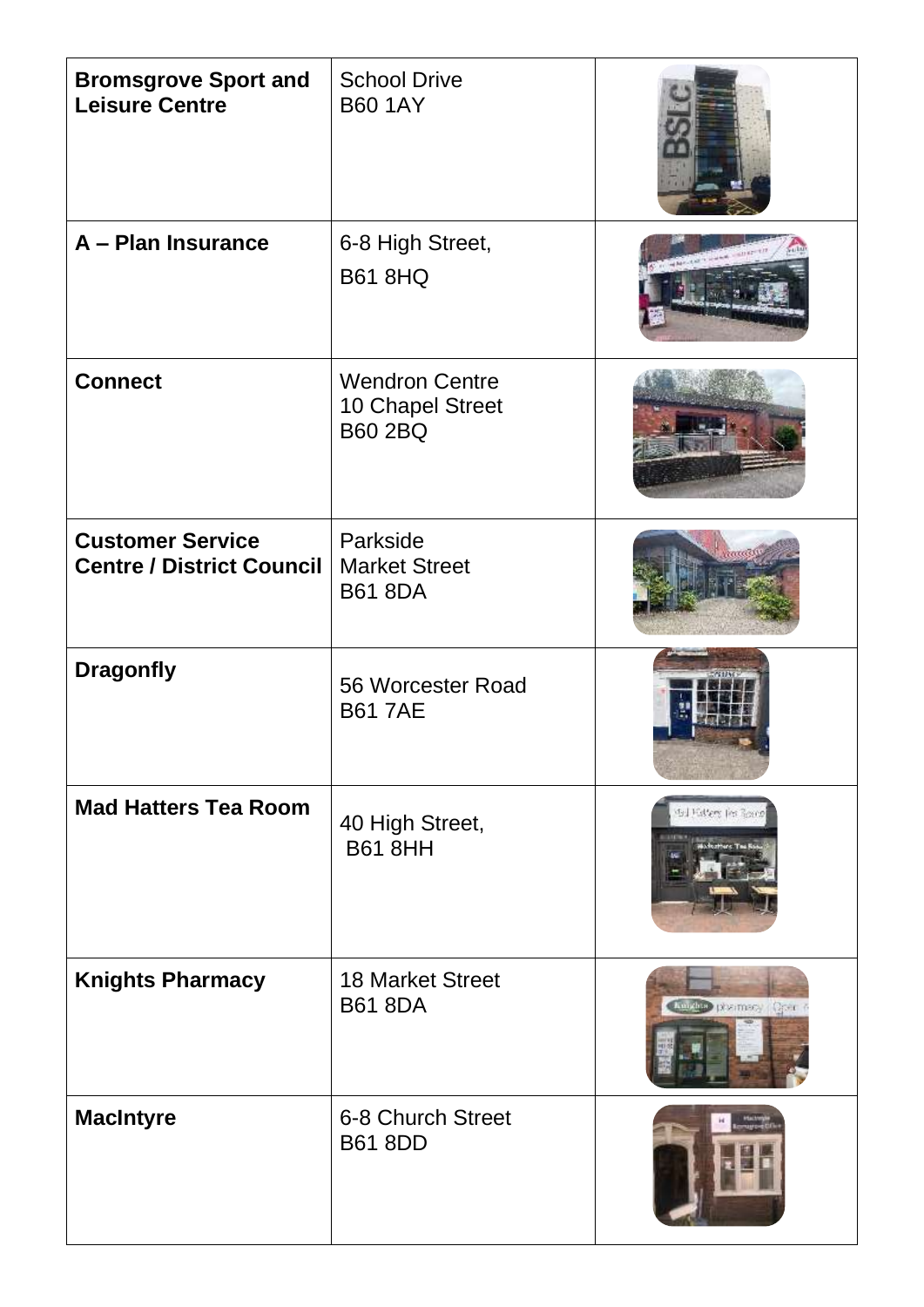| <b>Bromsgrove Sport and</b><br><b>Leisure Centre</b>        | <b>School Drive</b><br><b>B60 1AY</b>                       |                       |
|-------------------------------------------------------------|-------------------------------------------------------------|-----------------------|
| A - Plan Insurance                                          | 6-8 High Street,<br><b>B61 8HQ</b>                          |                       |
| <b>Connect</b>                                              | <b>Wendron Centre</b><br>10 Chapel Street<br><b>B60 2BQ</b> |                       |
| <b>Customer Service</b><br><b>Centre / District Council</b> | Parkside<br><b>Market Street</b><br><b>B61 8DA</b>          |                       |
| <b>Dragonfly</b>                                            | 56 Worcester Road<br><b>B61 7AE</b>                         |                       |
| <b>Mad Hatters Tea Room</b>                                 | 40 High Street,<br><b>B61 8HH</b>                           | dal Estere fes Rosen  |
| <b>Knights Pharmacy</b>                                     | <b>18 Market Street</b><br><b>B61 8DA</b>                   | Trushe positiscy Quer |
| <b>MacIntyre</b>                                            | 6-8 Church Street<br><b>B61 8DD</b>                         |                       |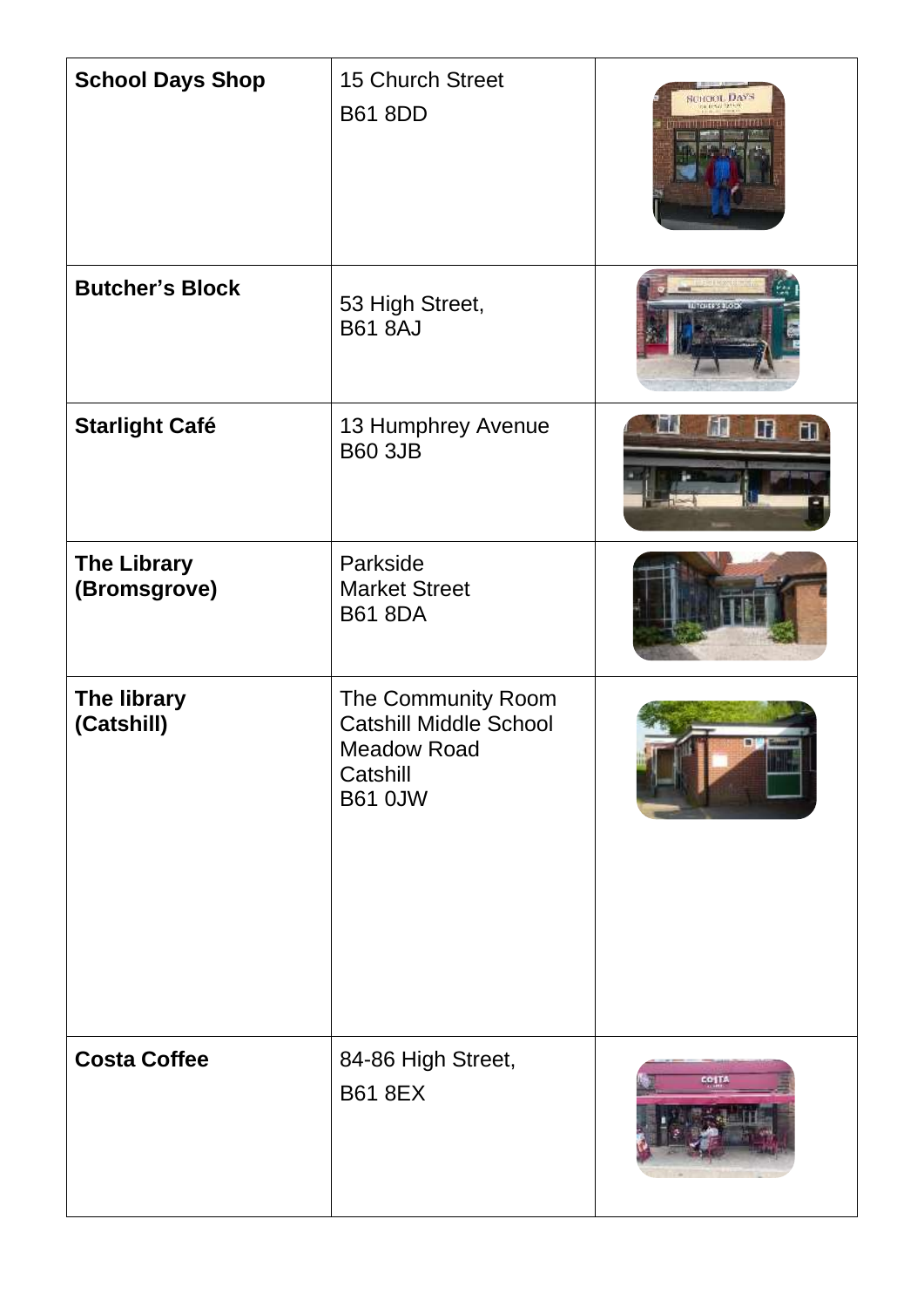| <b>School Days Shop</b>            | <b>15 Church Street</b><br><b>B61 8DD</b>                                                        | CHOOL DAYS              |
|------------------------------------|--------------------------------------------------------------------------------------------------|-------------------------|
| <b>Butcher's Block</b>             | 53 High Street,<br><b>B61 8AJ</b>                                                                | <b>REPORT SEE 100x3</b> |
| <b>Starlight Café</b>              | 13 Humphrey Avenue<br><b>B60 3JB</b>                                                             | ◫<br>Ш                  |
| <b>The Library</b><br>(Bromsgrove) | Parkside<br><b>Market Street</b><br><b>B61 8DA</b>                                               |                         |
| The library<br>(Catshill)          | The Community Room<br><b>Catshill Middle School</b><br>Meadow Road<br>Catshill<br><b>B61 0JW</b> |                         |
| <b>Costa Coffee</b>                | 84-86 High Street,<br><b>B61 8EX</b>                                                             | co (T)                  |